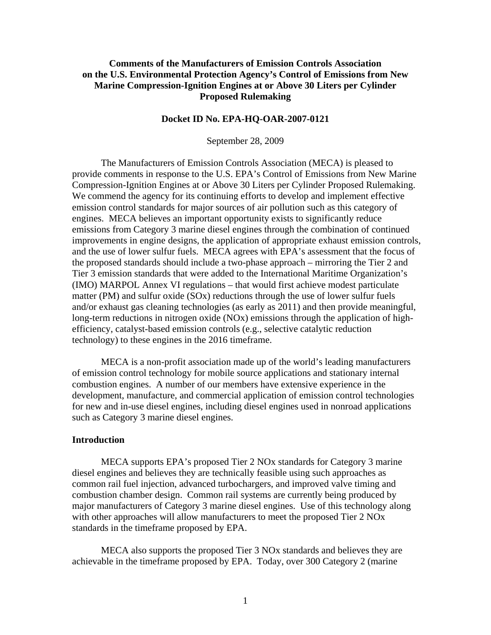# **Comments of the Manufacturers of Emission Controls Association on the U.S. Environmental Protection Agency's Control of Emissions from New Marine Compression-Ignition Engines at or Above 30 Liters per Cylinder Proposed Rulemaking**

## **Docket ID No. EPA-HQ-OAR-2007-0121**

September 28, 2009

The Manufacturers of Emission Controls Association (MECA) is pleased to provide comments in response to the U.S. EPA's Control of Emissions from New Marine Compression-Ignition Engines at or Above 30 Liters per Cylinder Proposed Rulemaking. We commend the agency for its continuing efforts to develop and implement effective emission control standards for major sources of air pollution such as this category of engines. MECA believes an important opportunity exists to significantly reduce emissions from Category 3 marine diesel engines through the combination of continued improvements in engine designs, the application of appropriate exhaust emission controls, and the use of lower sulfur fuels. MECA agrees with EPA's assessment that the focus of the proposed standards should include a two-phase approach – mirroring the Tier 2 and Tier 3 emission standards that were added to the International Maritime Organization's (IMO) MARPOL Annex VI regulations – that would first achieve modest particulate matter (PM) and sulfur oxide (SOx) reductions through the use of lower sulfur fuels and/or exhaust gas cleaning technologies (as early as 2011) and then provide meaningful, long-term reductions in nitrogen oxide (NOx) emissions through the application of highefficiency, catalyst-based emission controls (e.g., selective catalytic reduction technology) to these engines in the 2016 timeframe.

MECA is a non-profit association made up of the world's leading manufacturers of emission control technology for mobile source applications and stationary internal combustion engines. A number of our members have extensive experience in the development, manufacture, and commercial application of emission control technologies for new and in-use diesel engines, including diesel engines used in nonroad applications such as Category 3 marine diesel engines.

#### **Introduction**

 MECA supports EPA's proposed Tier 2 NOx standards for Category 3 marine diesel engines and believes they are technically feasible using such approaches as common rail fuel injection, advanced turbochargers, and improved valve timing and combustion chamber design. Common rail systems are currently being produced by major manufacturers of Category 3 marine diesel engines. Use of this technology along with other approaches will allow manufacturers to meet the proposed Tier 2 NOx standards in the timeframe proposed by EPA.

 MECA also supports the proposed Tier 3 NOx standards and believes they are achievable in the timeframe proposed by EPA. Today, over 300 Category 2 (marine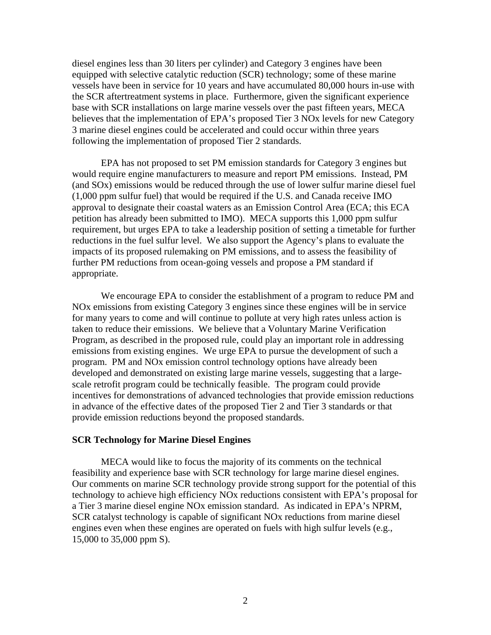diesel engines less than 30 liters per cylinder) and Category 3 engines have been equipped with selective catalytic reduction (SCR) technology; some of these marine vessels have been in service for 10 years and have accumulated 80,000 hours in-use with the SCR aftertreatment systems in place. Furthermore, given the significant experience base with SCR installations on large marine vessels over the past fifteen years, MECA believes that the implementation of EPA's proposed Tier 3 NOx levels for new Category 3 marine diesel engines could be accelerated and could occur within three years following the implementation of proposed Tier 2 standards.

 EPA has not proposed to set PM emission standards for Category 3 engines but would require engine manufacturers to measure and report PM emissions. Instead, PM (and SOx) emissions would be reduced through the use of lower sulfur marine diesel fuel (1,000 ppm sulfur fuel) that would be required if the U.S. and Canada receive IMO approval to designate their coastal waters as an Emission Control Area (ECA; this ECA petition has already been submitted to IMO). MECA supports this 1,000 ppm sulfur requirement, but urges EPA to take a leadership position of setting a timetable for further reductions in the fuel sulfur level. We also support the Agency's plans to evaluate the impacts of its proposed rulemaking on PM emissions, and to assess the feasibility of further PM reductions from ocean-going vessels and propose a PM standard if appropriate.

 We encourage EPA to consider the establishment of a program to reduce PM and NOx emissions from existing Category 3 engines since these engines will be in service for many years to come and will continue to pollute at very high rates unless action is taken to reduce their emissions. We believe that a Voluntary Marine Verification Program, as described in the proposed rule, could play an important role in addressing emissions from existing engines. We urge EPA to pursue the development of such a program. PM and NOx emission control technology options have already been developed and demonstrated on existing large marine vessels, suggesting that a largescale retrofit program could be technically feasible. The program could provide incentives for demonstrations of advanced technologies that provide emission reductions in advance of the effective dates of the proposed Tier 2 and Tier 3 standards or that provide emission reductions beyond the proposed standards.

#### **SCR Technology for Marine Diesel Engines**

MECA would like to focus the majority of its comments on the technical feasibility and experience base with SCR technology for large marine diesel engines. Our comments on marine SCR technology provide strong support for the potential of this technology to achieve high efficiency NOx reductions consistent with EPA's proposal for a Tier 3 marine diesel engine NOx emission standard. As indicated in EPA's NPRM, SCR catalyst technology is capable of significant NOx reductions from marine diesel engines even when these engines are operated on fuels with high sulfur levels (e.g., 15,000 to 35,000 ppm S).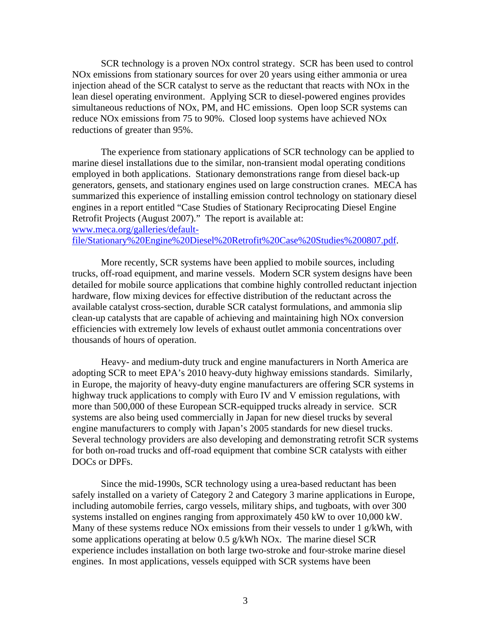SCR technology is a proven NOx control strategy. SCR has been used to control NOx emissions from stationary sources for over 20 years using either ammonia or urea injection ahead of the SCR catalyst to serve as the reductant that reacts with NOx in the lean diesel operating environment. Applying SCR to diesel-powered engines provides simultaneous reductions of NOx, PM, and HC emissions. Open loop SCR systems can reduce NOx emissions from 75 to 90%. Closed loop systems have achieved NOx reductions of greater than 95%.

The experience from stationary applications of SCR technology can be applied to marine diesel installations due to the similar, non-transient modal operating conditions employed in both applications. Stationary demonstrations range from diesel back-up generators, gensets, and stationary engines used on large construction cranes. MECA has summarized this experience of installing emission control technology on stationary diesel engines in a report entitled "Case Studies of Stationary Reciprocating Diesel Engine Retrofit Projects (August 2007)." The report is available at: [www.meca.org/galleries/default-](http://www.meca.org/galleries/default-file/Stationary%20Engine%20Diesel%20Retrofit%20Case%20Studies%200807.pdf)

[file/Stationary%20Engine%20Diesel%20Retrofit%20Case%20Studies%200807.pdf](http://www.meca.org/galleries/default-file/Stationary%20Engine%20Diesel%20Retrofit%20Case%20Studies%200807.pdf).

More recently, SCR systems have been applied to mobile sources, including trucks, off-road equipment, and marine vessels. Modern SCR system designs have been detailed for mobile source applications that combine highly controlled reductant injection hardware, flow mixing devices for effective distribution of the reductant across the available catalyst cross-section, durable SCR catalyst formulations, and ammonia slip clean-up catalysts that are capable of achieving and maintaining high NOx conversion efficiencies with extremely low levels of exhaust outlet ammonia concentrations over thousands of hours of operation.

Heavy- and medium-duty truck and engine manufacturers in North America are adopting SCR to meet EPA's 2010 heavy-duty highway emissions standards. Similarly, in Europe, the majority of heavy-duty engine manufacturers are offering SCR systems in highway truck applications to comply with Euro IV and V emission regulations, with more than 500,000 of these European SCR-equipped trucks already in service. SCR systems are also being used commercially in Japan for new diesel trucks by several engine manufacturers to comply with Japan's 2005 standards for new diesel trucks. Several technology providers are also developing and demonstrating retrofit SCR systems for both on-road trucks and off-road equipment that combine SCR catalysts with either DOCs or DPFs.

 Since the mid-1990s, SCR technology using a urea-based reductant has been safely installed on a variety of Category 2 and Category 3 marine applications in Europe, including automobile ferries, cargo vessels, military ships, and tugboats, with over 300 systems installed on engines ranging from approximately 450 kW to over 10,000 kW. Many of these systems reduce NOx emissions from their vessels to under 1 g/kWh, with some applications operating at below 0.5 g/kWh NOx. The marine diesel SCR experience includes installation on both large two-stroke and four-stroke marine diesel engines. In most applications, vessels equipped with SCR systems have been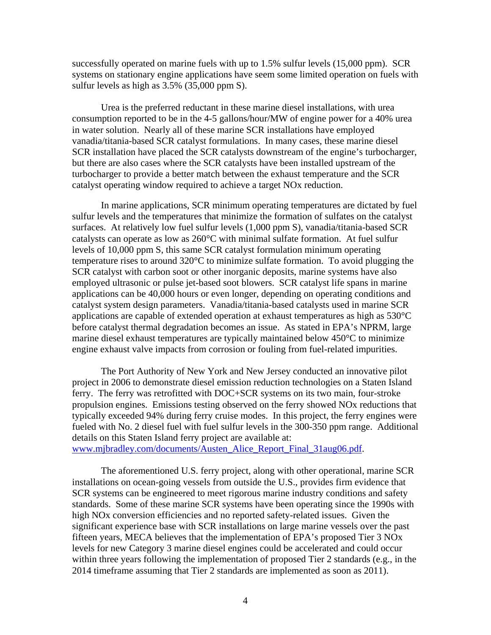successfully operated on marine fuels with up to 1.5% sulfur levels (15,000 ppm). SCR systems on stationary engine applications have seem some limited operation on fuels with sulfur levels as high as 3.5% (35,000 ppm S).

Urea is the preferred reductant in these marine diesel installations, with urea consumption reported to be in the 4-5 gallons/hour/MW of engine power for a 40% urea in water solution. Nearly all of these marine SCR installations have employed vanadia/titania-based SCR catalyst formulations. In many cases, these marine diesel SCR installation have placed the SCR catalysts downstream of the engine's turbocharger, but there are also cases where the SCR catalysts have been installed upstream of the turbocharger to provide a better match between the exhaust temperature and the SCR catalyst operating window required to achieve a target NOx reduction.

In marine applications, SCR minimum operating temperatures are dictated by fuel sulfur levels and the temperatures that minimize the formation of sulfates on the catalyst surfaces. At relatively low fuel sulfur levels (1,000 ppm S), vanadia/titania-based SCR catalysts can operate as low as 260°C with minimal sulfate formation. At fuel sulfur levels of 10,000 ppm S, this same SCR catalyst formulation minimum operating temperature rises to around 320°C to minimize sulfate formation. To avoid plugging the SCR catalyst with carbon soot or other inorganic deposits, marine systems have also employed ultrasonic or pulse jet-based soot blowers. SCR catalyst life spans in marine applications can be 40,000 hours or even longer, depending on operating conditions and catalyst system design parameters. Vanadia/titania-based catalysts used in marine SCR applications are capable of extended operation at exhaust temperatures as high as  $530^{\circ}$ C before catalyst thermal degradation becomes an issue. As stated in EPA's NPRM, large marine diesel exhaust temperatures are typically maintained below 450°C to minimize engine exhaust valve impacts from corrosion or fouling from fuel-related impurities.

The Port Authority of New York and New Jersey conducted an innovative pilot project in 2006 to demonstrate diesel emission reduction technologies on a Staten Island ferry. The ferry was retrofitted with DOC+SCR systems on its two main, four-stroke propulsion engines. Emissions testing observed on the ferry showed NOx reductions that typically exceeded 94% during ferry cruise modes. In this project, the ferry engines were fueled with No. 2 diesel fuel with fuel sulfur levels in the 300-350 ppm range. Additional details on this Staten Island ferry project are available at:

[www.mjbradley.com/documents/Austen\\_Alice\\_Report\\_Final\\_31aug06.pdf.](http://www.mjbradley.com/documents/Austen_Alice_Report_Final_31aug06.pdf)

The aforementioned U.S. ferry project, along with other operational, marine SCR installations on ocean-going vessels from outside the U.S., provides firm evidence that SCR systems can be engineered to meet rigorous marine industry conditions and safety standards. Some of these marine SCR systems have been operating since the 1990s with high NOx conversion efficiencies and no reported safety-related issues. Given the significant experience base with SCR installations on large marine vessels over the past fifteen years, MECA believes that the implementation of EPA's proposed Tier 3 NOx levels for new Category 3 marine diesel engines could be accelerated and could occur within three years following the implementation of proposed Tier 2 standards (e.g., in the 2014 timeframe assuming that Tier 2 standards are implemented as soon as 2011).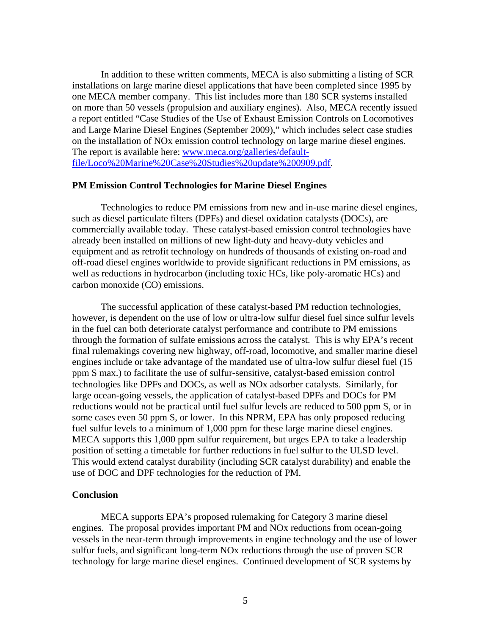In addition to these written comments, MECA is also submitting a listing of SCR installations on large marine diesel applications that have been completed since 1995 by one MECA member company. This list includes more than 180 SCR systems installed on more than 50 vessels (propulsion and auxiliary engines). Also, MECA recently issued a report entitled "Case Studies of the Use of Exhaust Emission Controls on Locomotives and Large Marine Diesel Engines (September 2009)," which includes select case studies on the installation of NOx emission control technology on large marine diesel engines. The report is available here: [www.meca.org/galleries/default](http://www.meca.org/galleries/default-file/Loco%20Marine%20Case%20Studies%20update%200909.pdf)[file/Loco%20Marine%20Case%20Studies%20update%200909.pdf](http://www.meca.org/galleries/default-file/Loco%20Marine%20Case%20Studies%20update%200909.pdf).

## **PM Emission Control Technologies for Marine Diesel Engines**

Technologies to reduce PM emissions from new and in-use marine diesel engines, such as diesel particulate filters (DPFs) and diesel oxidation catalysts (DOCs), are commercially available today. These catalyst-based emission control technologies have already been installed on millions of new light-duty and heavy-duty vehicles and equipment and as retrofit technology on hundreds of thousands of existing on-road and off-road diesel engines worldwide to provide significant reductions in PM emissions, as well as reductions in hydrocarbon (including toxic HCs, like poly-aromatic HCs) and carbon monoxide (CO) emissions.

The successful application of these catalyst-based PM reduction technologies, however, is dependent on the use of low or ultra-low sulfur diesel fuel since sulfur levels in the fuel can both deteriorate catalyst performance and contribute to PM emissions through the formation of sulfate emissions across the catalyst. This is why EPA's recent final rulemakings covering new highway, off-road, locomotive, and smaller marine diesel engines include or take advantage of the mandated use of ultra-low sulfur diesel fuel (15 ppm S max.) to facilitate the use of sulfur-sensitive, catalyst-based emission control technologies like DPFs and DOCs, as well as NOx adsorber catalysts. Similarly, for large ocean-going vessels, the application of catalyst-based DPFs and DOCs for PM reductions would not be practical until fuel sulfur levels are reduced to 500 ppm S, or in some cases even 50 ppm S, or lower. In this NPRM, EPA has only proposed reducing fuel sulfur levels to a minimum of 1,000 ppm for these large marine diesel engines. MECA supports this 1,000 ppm sulfur requirement, but urges EPA to take a leadership position of setting a timetable for further reductions in fuel sulfur to the ULSD level. This would extend catalyst durability (including SCR catalyst durability) and enable the use of DOC and DPF technologies for the reduction of PM.

## **Conclusion**

MECA supports EPA's proposed rulemaking for Category 3 marine diesel engines. The proposal provides important PM and NOx reductions from ocean-going vessels in the near-term through improvements in engine technology and the use of lower sulfur fuels, and significant long-term NOx reductions through the use of proven SCR technology for large marine diesel engines. Continued development of SCR systems by